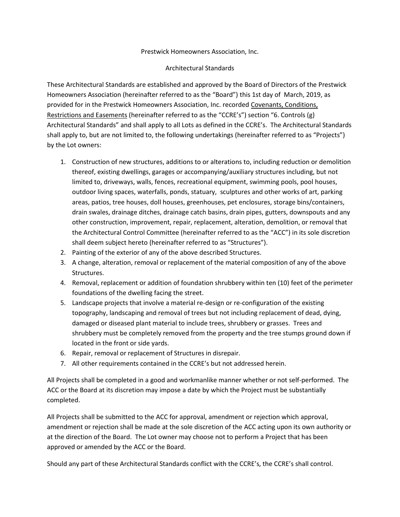## Prestwick Homeowners Association, Inc.

## Architectural Standards

These Architectural Standards are established and approved by the Board of Directors of the Prestwick Homeowners Association (hereinafter referred to as the "Board") this 1st day of March, 2019, as provided for in the Prestwick Homeowners Association, Inc. recorded Covenants, Conditions, Restrictions and Easements (hereinafter referred to as the "CCRE's") section "6. Controls (g) Architectural Standards" and shall apply to all Lots as defined in the CCRE's. The Architectural Standards shall apply to, but are not limited to, the following undertakings (hereinafter referred to as "Projects") by the Lot owners:

- 1. Construction of new structures, additions to or alterations to, including reduction or demolition thereof, existing dwellings, garages or accompanying/auxiliary structures including, but not limited to, driveways, walls, fences, recreational equipment, swimming pools, pool houses, outdoor living spaces, waterfalls, ponds, statuary, sculptures and other works of art, parking areas, patios, tree houses, doll houses, greenhouses, pet enclosures, storage bins/containers, drain swales, drainage ditches, drainage catch basins, drain pipes, gutters, downspouts and any other construction, improvement, repair, replacement, alteration, demolition, or removal that the Architectural Control Committee (hereinafter referred to as the "ACC") in its sole discretion shall deem subject hereto (hereinafter referred to as "Structures").
- 2. Painting of the exterior of any of the above described Structures.
- 3. A change, alteration, removal or replacement of the material composition of any of the above Structures.
- 4. Removal, replacement or addition of foundation shrubbery within ten (10) feet of the perimeter foundations of the dwelling facing the street.
- 5. Landscape projects that involve a material re-design or re-configuration of the existing topography, landscaping and removal of trees but not including replacement of dead, dying, damaged or diseased plant material to include trees, shrubbery or grasses. Trees and shrubbery must be completely removed from the property and the tree stumps ground down if located in the front or side yards.
- 6. Repair, removal or replacement of Structures in disrepair.
- 7. All other requirements contained in the CCRE's but not addressed herein.

All Projects shall be completed in a good and workmanlike manner whether or not self-performed. The ACC or the Board at its discretion may impose a date by which the Project must be substantially completed.

All Projects shall be submitted to the ACC for approval, amendment or rejection which approval, amendment or rejection shall be made at the sole discretion of the ACC acting upon its own authority or at the direction of the Board. The Lot owner may choose not to perform a Project that has been approved or amended by the ACC or the Board.

Should any part of these Architectural Standards conflict with the CCRE's, the CCRE's shall control.